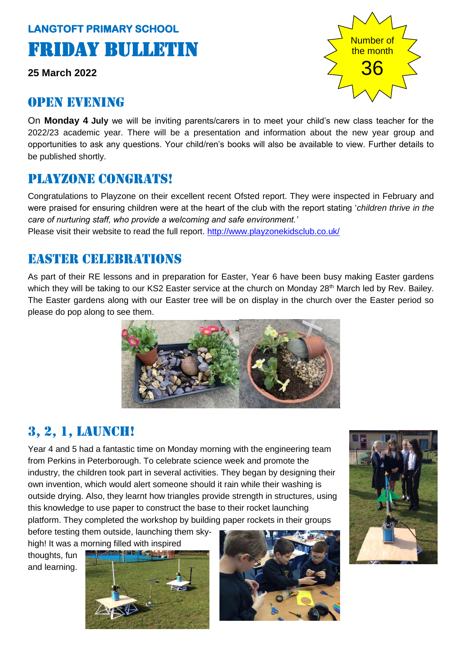# **LANGTOFT PRIMARY SCHOOL**  Friday Bulletin

**25 March 2022**

### OPEN EVENING

Number of the month 36

On **Monday 4 July** we will be inviting parents/carers in to meet your child's new class teacher for the 2022/23 academic year. There will be a presentation and information about the new year group and opportunities to ask any questions. Your child/ren's books will also be available to view. Further details to be published shortly.

### Playzone congrats!

Congratulations to Playzone on their excellent recent Ofsted report. They were inspected in February and were praised for ensuring children were at the heart of the club with the report stating '*children thrive in the care of nurturing staff, who provide a welcoming and safe environment.'* Please visit their website to read the full report.<http://www.playzonekidsclub.co.uk/>

## Easter celebrations

As part of their RE lessons and in preparation for Easter, Year 6 have been busy making Easter gardens which they will be taking to our KS2 Easter service at the church on Monday 28<sup>th</sup> March led by Rev. Bailey. The Easter gardens along with our Easter tree will be on display in the church over the Easter period so please do pop along to see them.



# 3, 2, 1, launch!

Year 4 and 5 had a fantastic time on Monday morning with the engineering team from Perkins in Peterborough. To celebrate science week and promote the industry, the children took part in several activities. They began by designing their own invention, which would alert someone should it rain while their washing is outside drying. Also, they learnt how triangles provide strength in structures, using this knowledge to use paper to construct the base to their rocket launching platform. They completed the workshop by building paper rockets in their groups

before testing them outside, launching them skyhigh! It was a morning filled with inspired

thoughts, fun and learning.





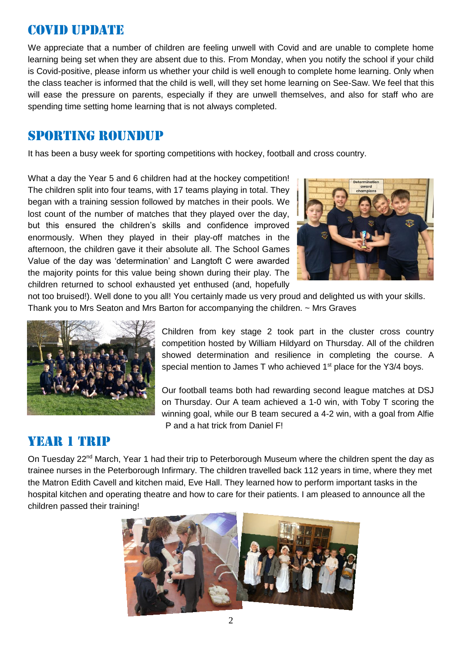### Covid update

We appreciate that a number of children are feeling unwell with Covid and are unable to complete home learning being set when they are absent due to this. From Monday, when you notify the school if your child is Covid-positive, please inform us whether your child is well enough to complete home learning. Only when the class teacher is informed that the child is well, will they set home learning on See-Saw. We feel that this will ease the pressure on parents, especially if they are unwell themselves, and also for staff who are spending time setting home learning that is not always completed.

### Sporting roundup

It has been a busy week for sporting competitions with hockey, football and cross country.

What a day the Year 5 and 6 children had at the hockey competition! The children split into four teams, with 17 teams playing in total. They began with a training session followed by matches in their pools. We lost count of the number of matches that they played over the day, but this ensured the children's skills and confidence improved enormously. When they played in their play-off matches in the afternoon, the children gave it their absolute all. The School Games Value of the day was 'determination' and Langtoft C were awarded the majority points for this value being shown during their play. The children returned to school exhausted yet enthused (and, hopefully



not too bruised!). Well done to you all! You certainly made us very proud and delighted us with your skills. Thank you to Mrs Seaton and Mrs Barton for accompanying the children. ~ Mrs Graves



Children from key stage 2 took part in the cluster cross country competition hosted by William Hildyard on Thursday. All of the children showed determination and resilience in completing the course. A special mention to James T who achieved  $1<sup>st</sup>$  place for the Y3/4 boys.

Our football teams both had rewarding second league matches at DSJ on Thursday. Our A team achieved a 1-0 win, with Toby T scoring the winning goal, while our B team secured a 4-2 win, with a goal from Alfie P and a hat trick from Daniel F!

### YEAR 1 TRIP

On Tuesday 22<sup>nd</sup> March, Year 1 had their trip to Peterborough Museum where the children spent the day as trainee nurses in the Peterborough Infirmary. The children travelled back 112 years in time, where they met the Matron Edith Cavell and kitchen maid, Eve Hall. They learned how to perform important tasks in the hospital kitchen and operating theatre and how to care for their patients. I am pleased to announce all the children passed their training!

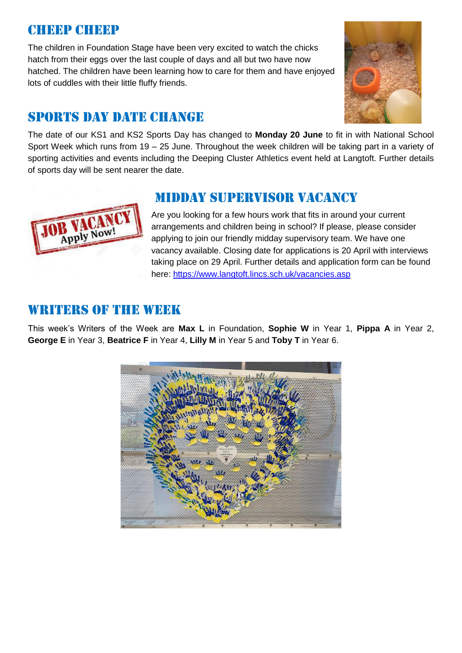### Cheep cheep

The children in Foundation Stage have been very excited to watch the chicks hatch from their eggs over the last couple of days and all but two have now hatched. The children have been learning how to care for them and have enjoyed lots of cuddles with their little fluffy friends.



### SPORTS DAY DATE CHANGE

The date of our KS1 and KS2 Sports Day has changed to **Monday 20 June** to fit in with National School Sport Week which runs from 19 – 25 June. Throughout the week children will be taking part in a variety of sporting activities and events including the Deeping Cluster Athletics event held at Langtoft. Further details of sports day will be sent nearer the date.



Are you looking for a few hours work that fits in around your current arrangements and children being in school? If please, please consider applying to join our friendly midday supervisory team. We have one vacancy available. Closing date for applications is 20 April with interviews taking place on 29 April. Further details and application form can be found here:<https://www.langtoft.lincs.sch.uk/vacancies.asp>

### WRITERS OF THE WEEK

Apply Now

This week's Writers of the Week are **Max L** in Foundation, **Sophie W** in Year 1, **Pippa A** in Year 2, **George E** in Year 3, **Beatrice F** in Year 4, **Lilly M** in Year 5 and **Toby T** in Year 6.

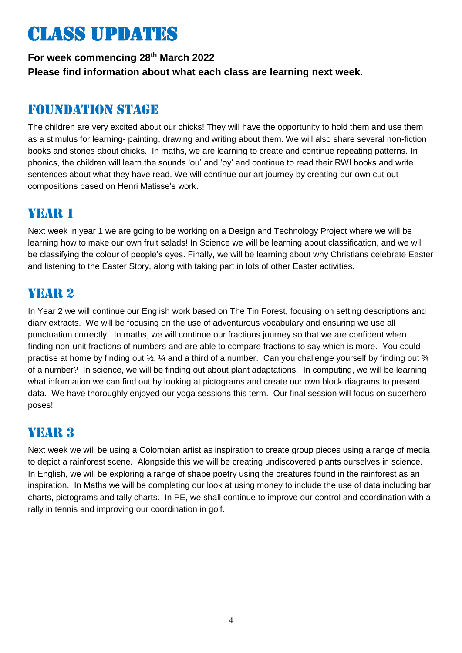# Class updates

### **For week commencing 28 th March 2022 Please find information about what each class are learning next week.**

### Foundation stage

The children are very excited about our chicks! They will have the opportunity to hold them and use them as a stimulus for learning- painting, drawing and writing about them. We will also share several non-fiction books and stories about chicks. In maths, we are learning to create and continue repeating patterns. In phonics, the children will learn the sounds 'ou' and 'oy' and continue to read their RWI books and write sentences about what they have read. We will continue our art journey by creating our own cut out compositions based on Henri Matisse's work.

### YEAR 1

Next week in year 1 we are going to be working on a Design and Technology Project where we will be learning how to make our own fruit salads! In Science we will be learning about classification, and we will be classifying the colour of people's eyes. Finally, we will be learning about why Christians celebrate Easter and listening to the Easter Story, along with taking part in lots of other Easter activities.

### YEAR 2

In Year 2 we will continue our English work based on The Tin Forest, focusing on setting descriptions and diary extracts. We will be focusing on the use of adventurous vocabulary and ensuring we use all punctuation correctly. In maths, we will continue our fractions journey so that we are confident when finding non-unit fractions of numbers and are able to compare fractions to say which is more. You could practise at home by finding out  $\frac{1}{2}$ ,  $\frac{1}{4}$  and a third of a number. Can you challenge yourself by finding out  $\frac{1}{4}$ of a number? In science, we will be finding out about plant adaptations. In computing, we will be learning what information we can find out by looking at pictograms and create our own block diagrams to present data. We have thoroughly enjoyed our yoga sessions this term. Our final session will focus on superhero poses!

### YEAR 3

Next week we will be using a Colombian artist as inspiration to create group pieces using a range of media to depict a rainforest scene. Alongside this we will be creating undiscovered plants ourselves in science. In English, we will be exploring a range of shape poetry using the creatures found in the rainforest as an inspiration. In Maths we will be completing our look at using money to include the use of data including bar charts, pictograms and tally charts. In PE, we shall continue to improve our control and coordination with a rally in tennis and improving our coordination in golf.